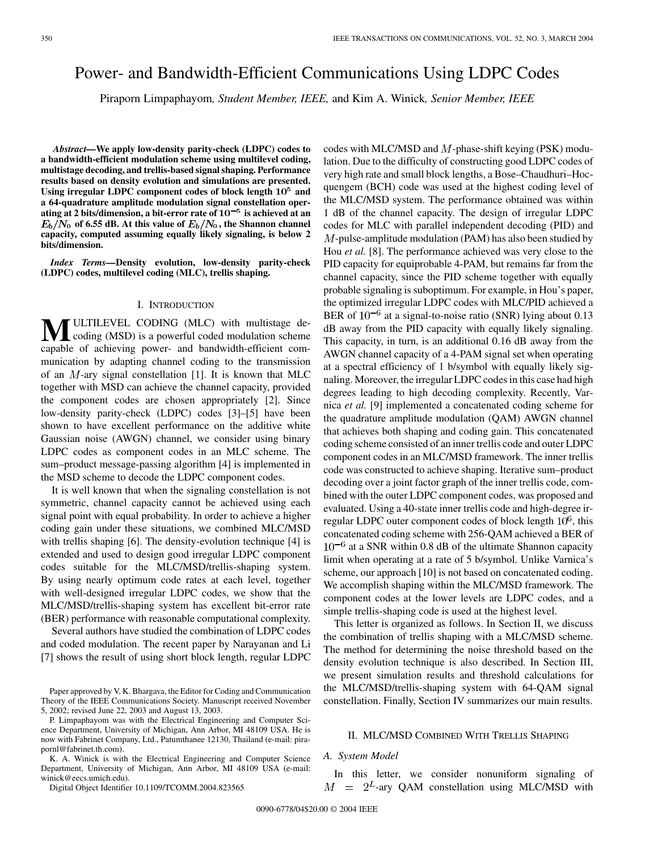# Power- and Bandwidth-Efficient Communications Using LDPC Codes

Piraporn Limpaphayom*, Student Member, IEEE,* and Kim A. Winick*, Senior Member, IEEE*

*Abstract—***We apply low-density parity-check (LDPC) codes to a bandwidth-efficient modulation scheme using multilevel coding, multistage decoding, and trellis-based signal shaping. Performance results based on density evolution and simulations are presented. Using irregular LDPC component codes of block length** 105 **and a 64-quadrature amplitude modulation signal constellation oper**ating at 2 bits/dimension, a bit-error rate of  $10^{-5}$  is achieved at an  $E_b/N_0$  of 6.55 dB. At this value of  $E_b/N_0$ , the Shannon channel **capacity, computed assuming equally likely signaling, is below 2 bits/dimension.**

*Index Terms—***Density evolution, low-density parity-check (LDPC) codes, multilevel coding (MLC), trellis shaping.**

## I. INTRODUCTION

**M**ULTILEVEL CODING (MLC) with multistage decoding (MSD) is a powerful coded modulation scheme capable of achieving power- and bandwidth-efficient communication by adapting channel coding to the transmission of an  $M$ -ary signal constellation [[1](#page-4-0)]. It is known that MLC together with MSD can achieve the channel capacity, provided the component codes are chosen appropriately [\[2](#page-4-0)]. Since low-density parity-check (LDPC) codes [[3\]](#page-4-0)–[\[5](#page-4-0)] have been shown to have excellent performance on the additive white Gaussian noise (AWGN) channel, we consider using binary LDPC codes as component codes in an MLC scheme. The sum–product message-passing algorithm [[4\]](#page-4-0) is implemented in the MSD scheme to decode the LDPC component codes.

It is well known that when the signaling constellation is not symmetric, channel capacity cannot be achieved using each signal point with equal probability. In order to achieve a higher coding gain under these situations, we combined MLC/MSD with trellis shaping [[6\]](#page-4-0). The density-evolution technique [\[4](#page-4-0)] is extended and used to design good irregular LDPC component codes suitable for the MLC/MSD/trellis-shaping system. By using nearly optimum code rates at each level, together with well-designed irregular LDPC codes, we show that the MLC/MSD/trellis-shaping system has excellent bit-error rate (BER) performance with reasonable computational complexity.

Several authors have studied the combination of LDPC codes and coded modulation. The recent paper by Narayanan and Li [\[7](#page-4-0)] shows the result of using short block length, regular LDPC

Paper approved by V. K. Bhargava, the Editor for Coding and Communication Theory of the IEEE Communications Society. Manuscript received November 5, 2002; revised June 22, 2003 and August 13, 2003.

K. A. Winick is with the Electrical Engineering and Computer Science Department, University of Michigan, Ann Arbor, MI 48109 USA (e-mail: winick@eecs.umich.edu).

Digital Object Identifier 10.1109/TCOMM.2004.823565

codes with MLC/MSD and  $M$ -phase-shift keying (PSK) modulation. Due to the difficulty of constructing good LDPC codes of very high rate and small block lengths, a Bose–Chaudhuri–Hocquengem (BCH) code was used at the highest coding level of the MLC/MSD system. The performance obtained was within 1 dB of the channel capacity. The design of irregular LDPC codes for MLC with parallel independent decoding (PID) and  $M$ -pulse-amplitude modulation (PAM) has also been studied by Hou *et al.* [[8\]](#page-4-0). The performance achieved was very close to the PID capacity for equiprobable 4-PAM, but remains far from the channel capacity, since the PID scheme together with equally probable signaling is suboptimum. For example, in Hou's paper, the optimized irregular LDPC codes with MLC/PID achieved a BER of  $10^{-6}$  at a signal-to-noise ratio (SNR) lying about 0.13 dB away from the PID capacity with equally likely signaling. This capacity, in turn, is an additional 0.16 dB away from the AWGN channel capacity of a 4-PAM signal set when operating at a spectral efficiency of 1 b/symbol with equally likely signaling. Moreover, the irregular LDPC codes in this case had high degrees leading to high decoding complexity. Recently, Varnica *et al.* [[9\]](#page-4-0) implemented a concatenated coding scheme for the quadrature amplitude modulation (QAM) AWGN channel that achieves both shaping and coding gain. This concatenated coding scheme consisted of an inner trellis code and outer LDPC component codes in an MLC/MSD framework. The inner trellis code was constructed to achieve shaping. Iterative sum–product decoding over a joint factor graph of the inner trellis code, combined with the outer LDPC component codes, was proposed and evaluated. Using a 40-state inner trellis code and high-degree irregular LDPC outer component codes of block length  $10^6$ , this concatenated coding scheme with 256-QAM achieved a BER of  $10^{-6}$  at a SNR within 0.8 dB of the ultimate Shannon capacity limit when operating at a rate of 5 b/symbol. Unlike Varnica's scheme, our approach [[10\]](#page-4-0) is not based on concatenated coding. We accomplish shaping within the MLC/MSD framework. The component codes at the lower levels are LDPC codes, and a simple trellis-shaping code is used at the highest level.

This letter is organized as follows. In Section II, we discuss the combination of trellis shaping with a MLC/MSD scheme. The method for determining the noise threshold based on the density evolution technique is also described. In Section III, we present simulation results and threshold calculations for the MLC/MSD/trellis-shaping system with 64-QAM signal constellation. Finally, Section IV summarizes our main results.

## II. MLC/MSD COMBINED WITH TRELLIS SHAPING

# *A. System Model*

In this letter, we consider nonuniform signaling of  $M = 2^L$ -ary QAM constellation using MLC/MSD with

P. Limpaphayom was with the Electrical Engineering and Computer Science Department, University of Michigan, Ann Arbor, MI 48109 USA. He is now with Fabrinet Company, Ltd., Patumthanee 12130, Thailand (e-mail: pirapornl@fabrinet.th.com).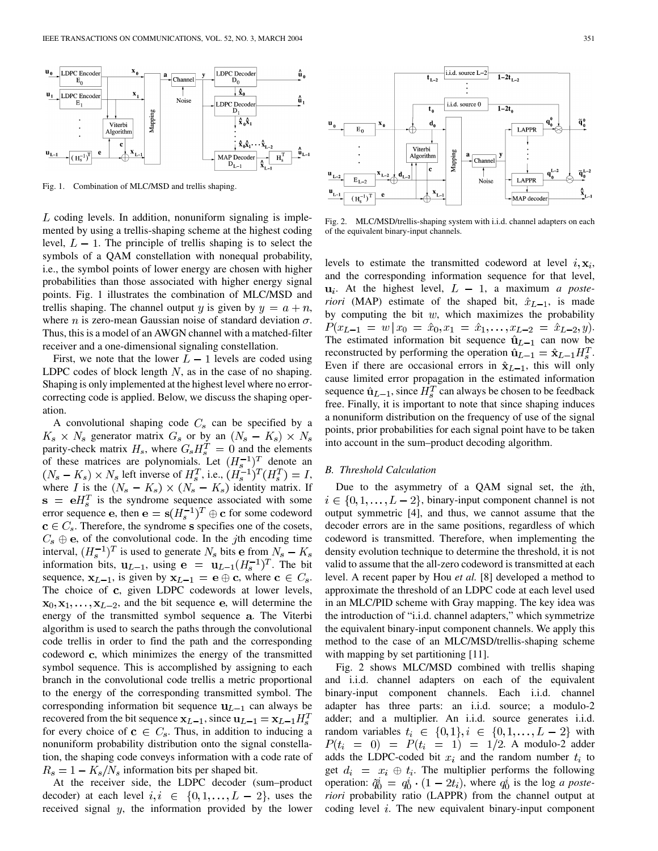

Fig. 1. Combination of MLC/MSD and trellis shaping.

 $L$  coding levels. In addition, nonuniform signaling is implemented by using a trellis-shaping scheme at the highest coding level,  $L - 1$ . The principle of trellis shaping is to select the symbols of a QAM constellation with nonequal probability, i.e., the symbol points of lower energy are chosen with higher probabilities than those associated with higher energy signal points. Fig. 1 illustrates the combination of MLC/MSD and trellis shaping. The channel output y is given by  $y = a + n$ , where *n* is zero-mean Gaussian noise of standard deviation  $\sigma$ . Thus, this is a model of an AWGN channel with a matched-filter receiver and a one-dimensional signaling constellation.

First, we note that the lower  $L-1$  levels are coded using LDPC codes of block length  $N$ , as in the case of no shaping. Shaping is only implemented at the highest level where no errorcorrecting code is applied. Below, we discuss the shaping operation.

A convolutional shaping code  $C_s$  can be specified by a  $K_s \times N_s$  generator matrix  $G_s$  or by an  $(N_s - K_s) \times N_s$ parity-check matrix  $H_s$ , where  $G_s H_s^T = 0$  and the elements of these matrices are polynomials. Let  $(H_s^{-1})^T$  denote an  $(N_s - K_s) \times N_s$  left inverse of  $H_s^T$ , i.e.,  $(H_s^{-1})^T(H_s^T) = I$ , where I is the  $(N_s - K_s) \times (N_s - K_s)$  identity matrix. If  $\mathbf{s} = \mathbf{e}H_s^T$  is the syndrome sequence associated with some error sequence e, then  $e = s(H_s^{-1})^T \oplus c$  for some codeword  $\mathbf{c} \in C_s$ . Therefore, the syndrome s specifies one of the cosets,  $C_s \oplus e$ , of the convolutional code. In the jth encoding time interval,  $(H_s^{-1})^T$  is used to generate  $N_s$  bits e from  $N_s - K_s$ information bits,  $\mathbf{u}_{L-1}$ , using  $\mathbf{e} = \mathbf{u}_{L-1}(H_s^{-1})^T$ . The bit sequence,  $x_{L-1}$ , is given by  $x_{L-1} = e \oplus c$ , where  $c \in C_s$ . The choice of c, given LDPC codewords at lower levels,  $x_0, x_1, \ldots, x_{L-2}$ , and the bit sequence e, will determine the energy of the transmitted symbol sequence a. The Viterbi algorithm is used to search the paths through the convolutional code trellis in order to find the path and the corresponding codeword  $c$ , which minimizes the energy of the transmitted symbol sequence. This is accomplished by assigning to each branch in the convolutional code trellis a metric proportional to the energy of the corresponding transmitted symbol. The corresponding information bit sequence  $u_{L-1}$  can always be recovered from the bit sequence  $x_{L-1}$ , since  $u_{L-1} = x_{L-1}H_s^T$ for every choice of  $c \in C_s$ . Thus, in addition to inducing a nonuniform probability distribution onto the signal constellation, the shaping code conveys information with a code rate of  $R_s = 1 - K_s/N_s$  information bits per shaped bit.

At the receiver side, the LDPC decoder (sum–product decoder) at each level  $i, i \in \{0, 1, ..., L - 2\}$ , uses the received signal  $y$ , the information provided by the lower



Fig. 2. MLC/MSD/trellis-shaping system with i.i.d. channel adapters on each of the equivalent binary-input channels.

levels to estimate the transmitted codeword at level  $i, \mathbf{x}_i$ , and the corresponding information sequence for that level,  $u_i$ . At the highest level,  $L - 1$ , a maximum *a posteriori* (MAP) estimate of the shaped bit,  $\hat{x}_{L-1}$ , is made by computing the bit  $w$ , which maximizes the probability  $P(x_{L-1} = w | x_0 = \hat{x}_0, x_1 = \hat{x}_1, \dots, x_{L-2} = \hat{x}_{L-2}, y).$ The estimated information bit sequence  $\hat{u}_{L-1}$  can now be reconstructed by performing the operation  $\hat{\mathbf{u}}_{L-1} = \hat{\mathbf{x}}_{L-1} H_s^T$ . Even if there are occasional errors in  $\hat{x}_{L-1}$ , this will only cause limited error propagation in the estimated information sequence  $\hat{u}_{L-1}$ , since  $H_s^T$  can always be chosen to be feedback free. Finally, it is important to note that since shaping induces a nonuniform distribution on the frequency of use of the signal points, prior probabilities for each signal point have to be taken into account in the sum–product decoding algorithm.

# *B. Threshold Calculation*

Due to the asymmetry of a QAM signal set, the  $ith$ ,  $i \in \{0, 1, \ldots, L-2\}$ , binary-input component channel is not output symmetric [[4\]](#page-4-0), and thus, we cannot assume that the decoder errors are in the same positions, regardless of which codeword is transmitted. Therefore, when implementing the density evolution technique to determine the threshold, it is not valid to assume that the all-zero codeword is transmitted at each level. A recent paper by Hou *et al.* [\[8](#page-4-0)] developed a method to approximate the threshold of an LDPC code at each level used in an MLC/PID scheme with Gray mapping. The key idea was the introduction of "i.i.d. channel adapters," which symmetrize the equivalent binary-input component channels. We apply this method to the case of an MLC/MSD/trellis-shaping scheme with mapping by set partitioning [[11\]](#page-4-0).

Fig. 2 shows MLC/MSD combined with trellis shaping and i.i.d. channel adapters on each of the equivalent binary-input component channels. Each i.i.d. channel adapter has three parts: an i.i.d. source; a modulo-2 adder; and a multiplier. An i.i.d. source generates i.i.d. random variables  $t_i \in \{0,1\}$ ,  $i \in \{0,1,\ldots,L-2\}$  with  $P(t_i = 0) = P(t_i = 1) = 1/2$ . A modulo-2 adder adds the LDPC-coded bit  $x_i$  and the random number  $t_i$  to get  $d_i = x_i \oplus t_i$ . The multiplier performs the following operation:  $\tilde{q}_0^i = q_0^i \cdot (1 - 2t_i)$ , where  $q_0^i$  is the log *a posteriori* probability ratio (LAPPR) from the channel output at coding level  $i$ . The new equivalent binary-input component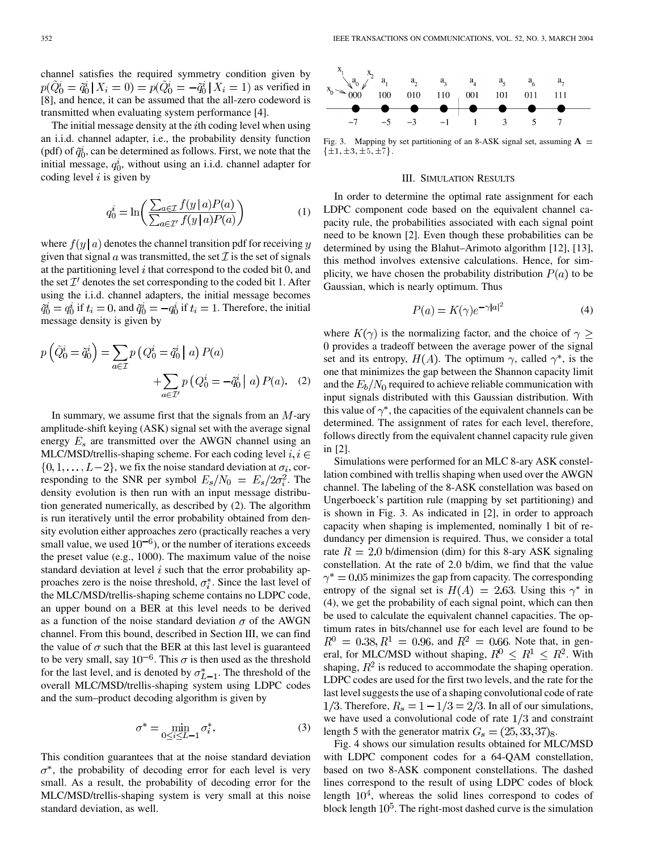channel satisfies the required symmetry condition given by  $p(\tilde{Q}_0^i = \tilde{q}_0^i | X_i = 0) = p(\tilde{Q}_0^i = -\tilde{q}_0^i | X_i = 1)$  as verified in [\[8](#page-4-0)], and hence, it can be assumed that the all-zero codeword is transmitted when evaluating system performance [[4\]](#page-4-0).

The initial message density at the  $i$ th coding level when using an i.i.d. channel adapter, i.e., the probability density function (pdf) of  $\tilde{q}_0^i$ , can be determined as follows. First, we note that the initial message,  $q_0^i$ , without using an i.i.d. channel adapter for coding level  $i$  is given by

$$
q_0^i = \ln\left(\frac{\sum_{a \in \mathcal{I}} f(y \mid a) P(a)}{\sum_{a \in \mathcal{I}'} f(y \mid a) P(a)}\right) \tag{1}
$$

where  $f(y | a)$  denotes the channel transition pdf for receiving y given that signal  $\alpha$  was transmitted, the set  $\mathcal I$  is the set of signals at the partitioning level  $i$  that correspond to the coded bit 0, and the set  $\mathcal{I}'$  denotes the set corresponding to the coded bit 1. After using the i.i.d. channel adapters, the initial message becomes  $\tilde{q}_0^i = q_0^i$  if  $t_i = 0$ , and  $\tilde{q}_0^i = -q_0^i$  if  $t_i = 1$ . Therefore, the initial message density is given by

$$
p\left(\tilde{Q}_0^i = \tilde{q}_0^i\right) = \sum_{a \in \mathcal{I}} p\left(Q_0^i = \tilde{q}_0^i \mid a\right) P(a) + \sum_{a \in \mathcal{I}'} p\left(Q_0^i = -\tilde{q}_0^i \mid a\right) P(a). \quad (2)
$$

In summary, we assume first that the signals from an  $M$ -ary amplitude-shift keying (ASK) signal set with the average signal energy  $E_s$  are transmitted over the AWGN channel using an MLC/MSD/trellis-shaping scheme. For each coding level  $i, i \in$  $\{0, 1, \ldots, L-2\}$ , we fix the noise standard deviation at  $\sigma_i$ , corresponding to the SNR per symbol  $E_s/N_0 = E_s/2\sigma_i^2$ . The density evolution is then run with an input message distribution generated numerically, as described by (2). The algorithm is run iteratively until the error probability obtained from density evolution either approaches zero (practically reaches a very small value, we used  $10^{-6}$ ), or the number of iterations exceeds the preset value (e.g., 1000). The maximum value of the noise standard deviation at level  $i$  such that the error probability approaches zero is the noise threshold,  $\sigma_i^*$ . Since the last level of the MLC/MSD/trellis-shaping scheme contains no LDPC code, an upper bound on a BER at this level needs to be derived as a function of the noise standard deviation  $\sigma$  of the AWGN channel. From this bound, described in Section III, we can find the value of  $\sigma$  such that the BER at this last level is guaranteed to be very small, say  $10^{-6}$ . This  $\sigma$  is then used as the threshold for the last level, and is denoted by  $\sigma_{L-1}^*$ . The threshold of the overall MLC/MSD/trellis-shaping system using LDPC codes and the sum–product decoding algorithm is given by

$$
\sigma^* = \min_{0 \le i \le L-1} \sigma_i^*.
$$
 (3)

This condition guarantees that at the noise standard deviation  $\sigma^*$ , the probability of decoding error for each level is very small. As a result, the probability of decoding error for the MLC/MSD/trellis-shaping system is very small at this noise standard deviation, as well.



Fig. 3. Mapping by set partitioning of an 8-ASK signal set, assuming  $A =$  $\{\pm 1, \pm 3, \pm 5, \pm 7\}.$ 

# III. SIMULATION RESULTS

In order to determine the optimal rate assignment for each LDPC component code based on the equivalent channel capacity rule, the probabilities associated with each signal point need to be known [\[2](#page-4-0)]. Even though these probabilities can be determined by using the Blahut–Arimoto algorithm [\[12](#page-4-0)], [\[13](#page-4-0)], this method involves extensive calculations. Hence, for simplicity, we have chosen the probability distribution  $P(a)$  to be Gaussian, which is nearly optimum. Thus

$$
P(a) = K(\gamma)e^{-\gamma|a|^2} \tag{4}
$$

where  $K(\gamma)$  is the normalizing factor, and the choice of  $\gamma \geq$ provides a tradeoff between the average power of the signal set and its entropy,  $H(A)$ . The optimum  $\gamma$ , called  $\gamma^*$ , is the one that minimizes the gap between the Shannon capacity limit and the  $E_b/N_0$  required to achieve reliable communication with input signals distributed with this Gaussian distribution. With this value of  $\gamma^*$ , the capacities of the equivalent channels can be determined. The assignment of rates for each level, therefore, follows directly from the equivalent channel capacity rule given in [\[2](#page-4-0)].

Simulations were performed for an MLC 8-ary ASK constellation combined with trellis shaping when used over the AWGN channel. The labeling of the 8-ASK constellation was based on Ungerboeck's partition rule (mapping by set partitioning) and is shown in Fig. 3. As indicated in [\[2](#page-4-0)], in order to approach capacity when shaping is implemented, nominally 1 bit of redundancy per dimension is required. Thus, we consider a total rate  $R = 2.0$  b/dimension (dim) for this 8-ary ASK signaling constellation. At the rate of 2.0 b/dim, we find that the value  $\gamma^* = 0.05$  minimizes the gap from capacity. The corresponding entropy of the signal set is  $H(A) = 2.63$ . Using this  $\gamma^*$  in (4), we get the probability of each signal point, which can then be used to calculate the equivalent channel capacities. The optimum rates in bits/channel use for each level are found to be  $R^0 = 0.38, R^1 = 0.96$ , and  $R^2 = 0.66$ . Note that, in general, for MLC/MSD without shaping,  $R^0 \le R^1 \le R^2$ . With shaping,  $R^2$  is reduced to accommodate the shaping operation. LDPC codes are used for the first two levels, and the rate for the last level suggests the use of a shaping convolutional code of rate 1/3. Therefore,  $R_s = 1 - 1/3 = 2/3$ . In all of our simulations, we have used a convolutional code of rate  $1/3$  and constraint length 5 with the generator matrix  $G_s = (25, 33, 37)_{8}$ .

Fig. 4 shows our simulation results obtained for MLC/MSD with LDPC component codes for a 64-QAM constellation, based on two 8-ASK component constellations. The dashed lines correspond to the result of using LDPC codes of block length  $10<sup>4</sup>$ , whereas the solid lines correspond to codes of block length  $10^5$ . The right-most dashed curve is the simulation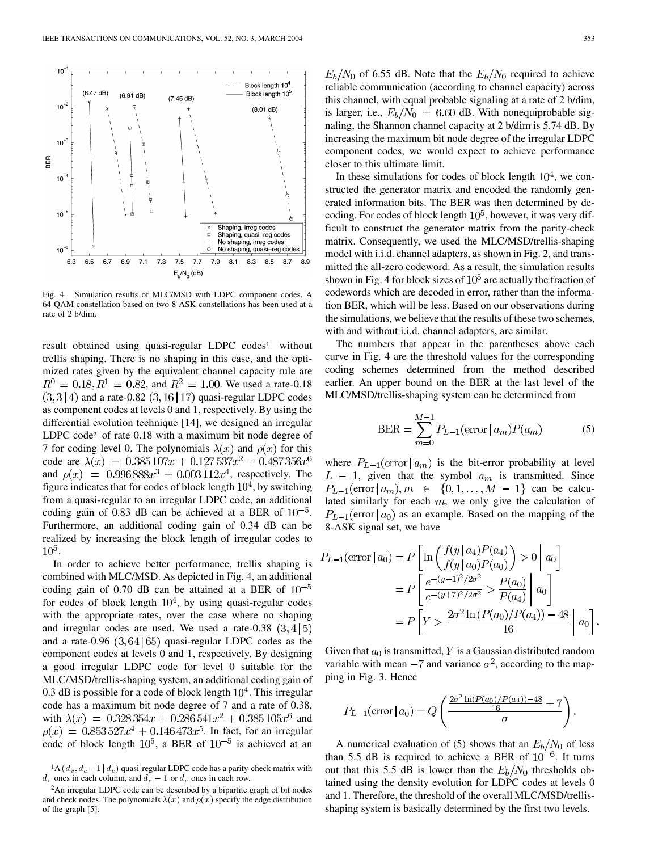

Fig. 4. Simulation results of MLC/MSD with LDPC component codes. A 64-QAM constellation based on two 8-ASK constellations has been used at a rate of 2 b/dim.

result obtained using quasi-regular LDPC codes<sup>1</sup> without trellis shaping. There is no shaping in this case, and the optimized rates given by the equivalent channel capacity rule are  $R^0 = 0.18, R^1 = 0.82$ , and  $R^2 = 1.00$ . We used a rate-0.18  $(3,3|4)$  and a rate-0.82  $(3,16|17)$  quasi-regular LDPC codes as component codes at levels 0 and 1, respectively. By using the differential evolution technique [\[14\]](#page-4-0), we designed an irregular LDPC code<sup>2</sup> of rate 0.18 with a maximum bit node degree of 7 for coding level 0. The polynomials  $\lambda(x)$  and  $\rho(x)$  for this code are  $\lambda(x) = 0.385107x + 0.127537x^2 + 0.487356x^6$ and  $\rho(x) = 0.996888x^3 + 0.003112x^4$ , respectively. The figure indicates that for codes of block length  $10<sup>4</sup>$ , by switching from a quasi-regular to an irregular LDPC code, an additional coding gain of 0.83 dB can be achieved at a BER of  $10^{-5}$ . Furthermore, an additional coding gain of 0.34 dB can be realized by increasing the block length of irregular codes to  $10^5$ .

In order to achieve better performance, trellis shaping is combined with MLC/MSD. As depicted in Fig. 4, an additional coding gain of 0.70 dB can be attained at a BER of  $10^{-5}$ for codes of block length  $10<sup>4</sup>$ , by using quasi-regular codes with the appropriate rates, over the case where no shaping and irregular codes are used. We used a rate-0.38  $(3,4|5)$ and a rate-0.96  $(3, 64 | 65)$  quasi-regular LDPC codes as the component codes at levels 0 and 1, respectively. By designing a good irregular LDPC code for level 0 suitable for the MLC/MSD/trellis-shaping system, an additional coding gain of 0.3 dB is possible for a code of block length  $10^4$ . This irregular code has a maximum bit node degree of 7 and a rate of 0.38, with  $\lambda(x) = 0.328354x + 0.286541x^2 + 0.385105x^6$  and  $\rho(x) = 0.853527x^{4} + 0.146473x^{5}$ . In fact, for an irregular code of block length  $10^5$ , a BER of  $10^{-5}$  is achieved at an

 $E_b/N_0$  of 6.55 dB. Note that the  $E_b/N_0$  required to achieve reliable communication (according to channel capacity) across this channel, with equal probable signaling at a rate of 2 b/dim, is larger, i.e.,  $E_b/N_0 = 6.60$  dB. With nonequiprobable signaling, the Shannon channel capacity at 2 b/dim is 5.74 dB. By increasing the maximum bit node degree of the irregular LDPC component codes, we would expect to achieve performance closer to this ultimate limit.

In these simulations for codes of block length  $10^4$ , we constructed the generator matrix and encoded the randomly generated information bits. The BER was then determined by decoding. For codes of block length  $10<sup>5</sup>$ , however, it was very difficult to construct the generator matrix from the parity-check matrix. Consequently, we used the MLC/MSD/trellis-shaping model with i.i.d. channel adapters, as shown in Fig. 2, and transmitted the all-zero codeword. As a result, the simulation results shown in Fig. 4 for block sizes of  $10<sup>5</sup>$  are actually the fraction of codewords which are decoded in error, rather than the information BER, which will be less. Based on our observations during the simulations, we believe that the results of these two schemes, with and without i.i.d. channel adapters, are similar.

The numbers that appear in the parentheses above each curve in Fig. 4 are the threshold values for the corresponding coding schemes determined from the method described earlier. An upper bound on the BER at the last level of the MLC/MSD/trellis-shaping system can be determined from

BER = 
$$
\sum_{m=0}^{M-1} P_{L-1}(\text{error} | a_m) P(a_m)
$$
 (5)

where  $P_{L-1}(\text{error} | a_m)$  is the bit-error probability at level  $L - 1$ , given that the symbol  $a_m$  is transmitted. Since  $P_{L-1}(\text{error} | a_m)$ ,  $m \in \{0, 1, \ldots, M-1\}$  can be calculated similarly for each  $m$ , we only give the calculation of  $P_{L-1}$ (error  $|a_0\rangle$  as an example. Based on the mapping of the 8-ASK signal set, we have

$$
P_{L-1}(\text{error} | a_0) = P \left[ \ln \left( \frac{f(y | a_4) P(a_4)}{f(y | a_0) P(a_0)} \right) > 0 \middle| a_0 \right]
$$
  
= 
$$
P \left[ \frac{e^{-(y-1)^2/2\sigma^2}}{e^{-(y+7)^2/2\sigma^2}} > \frac{P(a_0)}{P(a_4)} \middle| a_0 \right]
$$
  
= 
$$
P \left[ Y > \frac{2\sigma^2 \ln \left( P(a_0) / P(a_4) \right) - 48}{16} \middle| a_0 \right].
$$

Given that  $a_0$  is transmitted, Y is a Gaussian distributed random variable with mean  $-7$  and variance  $\sigma^2$ , according to the mapping in Fig. 3. Hence

$$
P_{L-1}(\text{error} \mid a_0) = Q\left(\frac{\frac{2\sigma^2 \ln(P(a_0)/P(a_4)) - 48}{16} + 7}{\sigma}\right)
$$

A numerical evaluation of (5) shows that an  $E_b/N_0$  of less than 5.5 dB is required to achieve a BER of  $10^{-6}$ . It turns out that this 5.5 dB is lower than the  $E_b/N_0$  thresholds obtained using the density evolution for LDPC codes at levels 0 and 1. Therefore, the threshold of the overall MLC/MSD/trellisshaping system is basically determined by the first two levels.

<sup>&</sup>lt;sup>1</sup>A ( $d_v$ ,  $d_c - 1 | d_c$ ) quasi-regular LDPC code has a parity-check matrix with  $d_v$  ones in each column, and  $d_c - 1$  or  $d_c$  ones in each row.

<sup>2</sup>An irregular LDPC code can be described by a bipartite graph of bit nodes and check nodes. The polynomials  $\lambda(x)$  and  $\rho(x)$  specify the edge distribution of the graph [[5\]](#page-4-0).